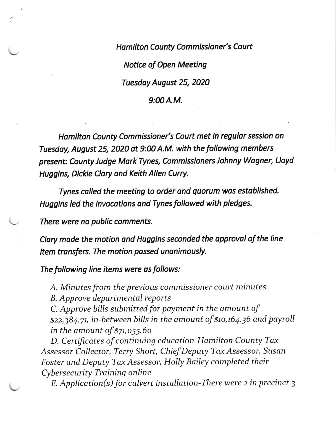Hamilton County Commissioner's Court Notice of Open Meeting Tuesdoy August 25, 2020  $9:00A.M.$ 

Homilton County Commissioner's Court met in regulor session on Tuesday, August 25, 2020 ot 9:00 A.M. with the following members present: County Judge MorkTynes, Commissioners Johnny Wogner, Lloyd Huggins, Dickie Clary ond Keith Allen Curry.

Tynes colled the meeting to order ond quorum was estoblished. Huggins led the invocotions and Tynes followed with pledges.

There were no public comments.

Clary made the motion and Huggins seconded the approval of the line item transfers. The motion passed unanimously.

The following line items were as follows:

A. Minutes from the previous commissioner court minutes.

B. Approve departmental reports

C. Approve bills submitted for payment in the amount of \$22,384.71, in-between bills in the amount of \$10,164.36 and payroll in the amount of  $$71,055.60$ 

D. Certificates of continuing education-Hamilton County Tax Assessor Collector, Terry Short, Chief Deputy Tax Assessor, Susan Foster and Deputy Tax Assessor, Holly Bailey completed their Cybersecurity Training online

 $E.$  Application(s) for culvert installation-There were 2 in precinct 3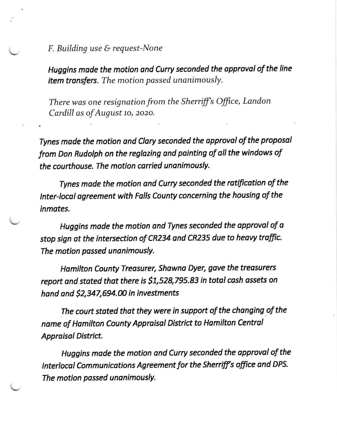$F.$  Building use  $G$  request-None

Huggins made the motion and Curry seconded the approval of the line item transfers. The motion passed unanimously.

There was one resignation from the Sherriff's Office, Landon Cardill as of August 10, 2020.

Tynes made the motion and Clary seconded the approval of the proposal from Don Rudolph on the reglazing and painting of all the windows of the courthouse. The motion carried unanimously.

Tynes made the motion and Curry seconded the rotification of the tnter-locol ogreement with Folls County conceming the housing of the inmates.

Huggins made the motion and Tynes seconded the approval of a stop sign at the intersection of CR234 and CR235 due to heavy traffic. The motion passed unanimously.

Hamilton County Treasurer, Shawna Dyer, gave the treasurers report and stated that there is \$1,528,795.83 in total cash assets on hand and  $$2,347,694.00$  in investments

The court stated that they were in support of the changing of the name of Hamilton County Appraisal District to Hamilton Central Appraisal District.

Huggins made the motion and Curry seconded the approval of the Interlocal Communications Agreement for the Sherriff's office and DPS. The motion passed unanimously.